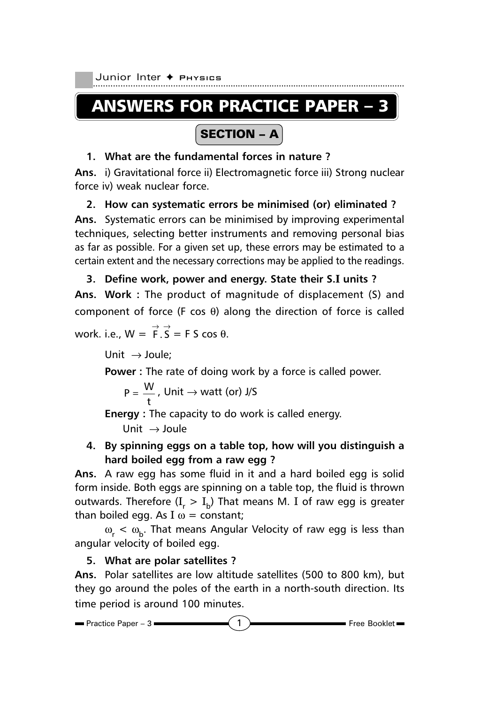Junior Inter + Pнузісs

# ANSWERS FOR PRACTICE PAPER – 3

## SECTION – A

#### **1. What are the fundamental forces in nature ?**

**Ans.** i) Gravitational force ii) Electromagnetic force iii) Strong nuclear force iv) weak nuclear force.

#### **2. How can systematic errors be minimised (or) eliminated ?**

**Ans.** Systematic errors can be minimised by improving experimental techniques, selecting better instruments and removing personal bias as far as possible. For a given set up, these errors may be estimated to a certain extent and the necessary corrections may be applied to the readings.

#### **3. Define work, power and energy. State their S.I units ?**

**Ans. Work :** The product of magnitude of displacement (S) and component of force (F cos θ) along the direction of force is called work. i.e.,  $W = \overrightarrow{F} \cdot \overrightarrow{S} = F S \cos \theta$ .

Unit  $\rightarrow$  Joule:

**Power :** The rate of doing work by a force is called power.

$$
P = \frac{W}{t}
$$
, Unit  $\rightarrow$  watt (or) J/S

**Energy :** The capacity to do work is called energy.

Unit  $\rightarrow$  Joule

### **4. By spinning eggs on a table top, how will you distinguish a hard boiled egg from a raw egg ?**

**Ans.** A raw egg has some fluid in it and a hard boiled egg is solid form inside. Both eggs are spinning on a table top, the fluid is thrown outwards. Therefore ( $\text{I}_\text{r} > \text{I}_\text{b}$ ) That means M. I of raw egg is greater than boiled egg. As I  $\omega$  = constant;

 $\omega_{\rm r} < \omega_{\rm b}$ . That means Angular Velocity of raw egg is less than angular velocity of boiled egg.

#### **5. What are polar satellites ?**

**Ans.** Polar satellites are low altitude satellites (500 to 800 km), but they go around the poles of the earth in a north-south direction. Its time period is around 100 minutes.

$$
\blacksquare \text{ Practice Paper - 3} \blacksquare
$$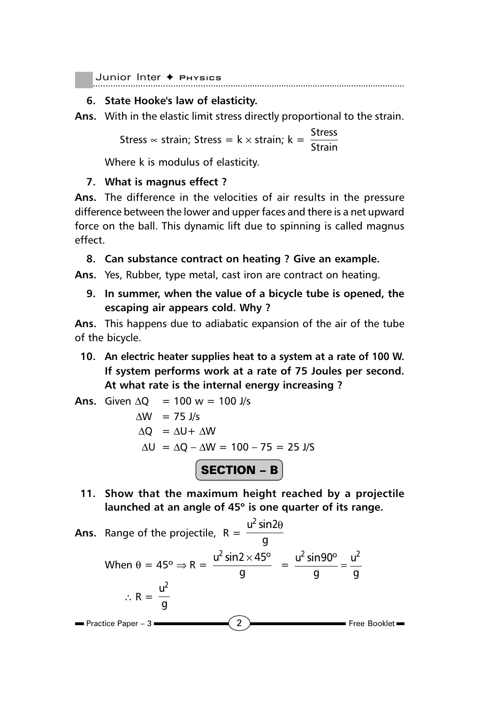#### **6. State Hooke's law of elasticity.**

**Ans.** With in the elastic limit stress directly proportional to the strain.

Stress ∝ strain; Stress = k × strain; k =  $\frac{\text{Stress}}{\text{Strain}}$ 

Where k is modulus of elasticity.

#### **7. What is magnus effect ?**

**Ans.** The difference in the velocities of air results in the pressure difference between the lower and upper faces and there is a net upward force on the ball. This dynamic lift due to spinning is called magnus effect.

**8. Can substance contract on heating ? Give an example.**

**Ans.** Yes, Rubber, type metal, cast iron are contract on heating.

**9. In summer, when the value of a bicycle tube is opened, the escaping air appears cold. Why ?**

**Ans.** This happens due to adiabatic expansion of the air of the tube of the bicycle.

**10. An electric heater supplies heat to a system at a rate of 100 W. If system performs work at a rate of 75 Joules per second. At what rate is the internal energy increasing ?**

Ans. Given 
$$
\Delta Q = 100 \text{ w} = 100 \text{ J/s}
$$

\n
$$
\Delta W = 75 \text{ J/s}
$$
\n
$$
\Delta Q = \Delta U + \Delta W
$$
\n
$$
\Delta U = \Delta Q - \Delta W = 100 - 75 = 25 \text{ J/S}
$$
\n**SECTION - B**

**11. Show that the maximum height reached by a projectile launched at an angle of 45**° **is one quarter of its range.**

Ans. Range of the projectile, 
$$
R = \frac{u^2 \sin 2\theta}{g}
$$

\nWhen  $\theta = 45^\circ \Rightarrow R = \frac{u^2 \sin 2 \times 45^\circ}{g} = \frac{u^2 \sin 90^\circ}{g} = \frac{u^2}{g}$ 

\n $\therefore R = \frac{u^2}{g}$ 

\nPractice Paper - 3

\n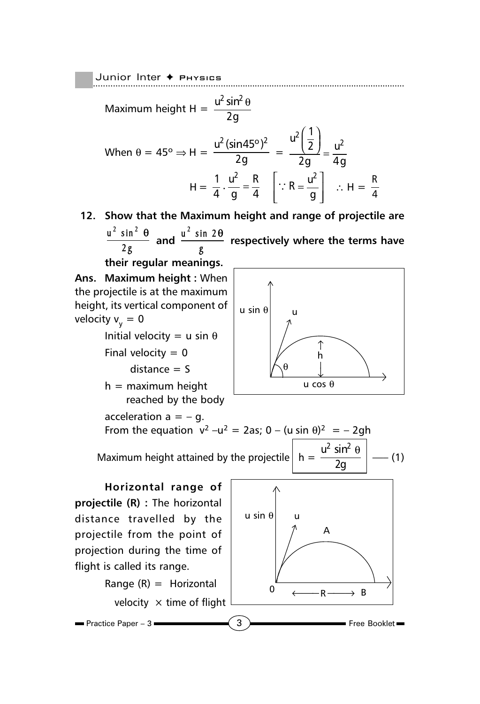Junior Inter + Physics

Maximum height H =  $\frac{u^2 \sin^2 u}{2}$ 2g θ When  $\theta = 45^{\circ} \Rightarrow H = \frac{u^2(\sin 45^{\circ})^2}{2\pi}$  $\frac{1}{2g}$  =  $\frac{2}{2}$ |  $\frac{1}{2}$ |  $\frac{1}{2}$  $u^2\left(\frac{1}{2}\right)$  u  $\frac{\left(\frac{1}{2}\right)}{2g} = \frac{u^2}{4g}$  $H = \frac{1}{4} \cdot \frac{u^2}{g} = \frac{R}{4}$  $\therefore R = \frac{u^2}{g}$  $\vert u^2 \vert$  $\left[\because R = \frac{u^2}{g}\right]$   $\therefore H = \frac{R}{4}$ 4

**12. Show that the Maximum height and range of projectile are**  $u^2$  sin<sup>2</sup>

 $\frac{\sin^2 \theta}{2g}$  and  $\frac{u^2 \sin 2\theta}{g}$ **g** <sup>θ</sup> **respectively where the terms have**

u sin θ

**their regular meanings. Ans. Maximum height :** When the projectile is at the maximum height, its vertical component of velocity  $v_v = 0$ Initial velocity = u sin  $\theta$ Final velocity  $= 0$ 

 $distance = S$ 

 $h =$  maximum height reached by the body θ u cos θ

u

acceleration  $a = -q$ . From the equation  $v^2 - u^2 = 2$ as; 0 – (u sin  $\theta$ )<sup>2</sup> = – 2gh  $u^2 \sin^2$ 

Maximum height attained by the projectile

 $\frac{\sin^2\theta}{2g}$  –– (1)

**Horizontal range of projectile (R) :** The horizontal distance travelled by the projectile from the point of projection during the time of flight is called its range.



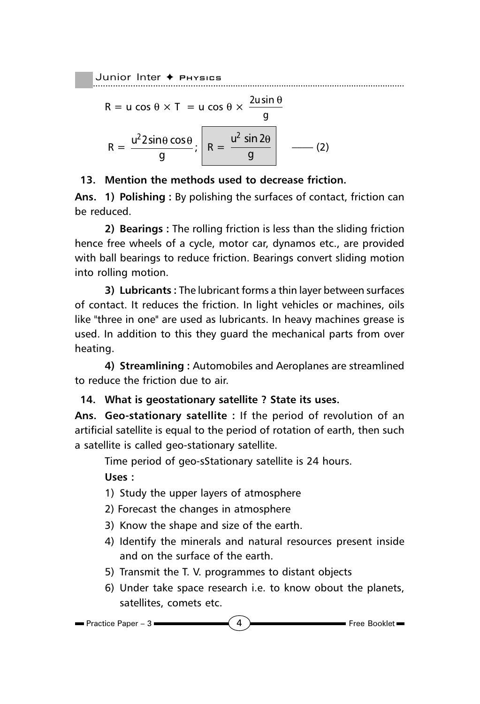$$
R = u \cos \theta \times T = u \cos \theta \times \frac{2u \sin \theta}{g}
$$

$$
R = \frac{u^2 2 \sin \theta \cos \theta}{g}; \quad R = \frac{u^2 \sin 2\theta}{g} \quad (2)
$$

#### **13. Mention the methods used to decrease friction.**

**Ans. 1) Polishing :** By polishing the surfaces of contact, friction can be reduced.

**2) Bearings :** The rolling friction is less than the sliding friction hence free wheels of a cycle, motor car, dynamos etc., are provided with ball bearings to reduce friction. Bearings convert sliding motion into rolling motion.

**3) Lubricants :** The lubricant forms a thin layer between surfaces of contact. It reduces the friction. In light vehicles or machines, oils like "three in one" are used as lubricants. In heavy machines grease is used. In addition to this they guard the mechanical parts from over heating.

**4) Streamlining :** Automobiles and Aeroplanes are streamlined to reduce the friction due to air.

#### **14. What is geostationary satellite ? State its uses.**

**Ans. Geo-stationary satellite :** If the period of revolution of an artificial satellite is equal to the period of rotation of earth, then such a satellite is called geo-stationary satellite.

Time period of geo-sStationary satellite is 24 hours.

**Uses :**

- 1) Study the upper layers of atmosphere
- 2) Forecast the changes in atmosphere
- 3) Know the shape and size of the earth.
- 4) Identify the minerals and natural resources present inside and on the surface of the earth.
- 5) Transmit the T. V. programmes to distant objects
- 6) Under take space research i.e. to know obout the planets, satellites, comets etc.

$$
\blacksquare \text{Practice Paper} - 3
$$

 $\overline{\phantom{a}}$  3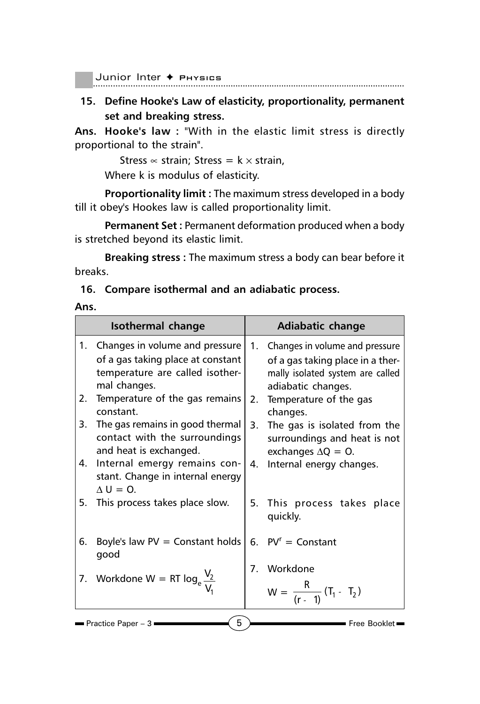............................................................................................................................... Junior Inter ✦ Physics

**15. Define Hooke's Law of elasticity, proportionality, permanent set and breaking stress.**

**Ans. Hooke's law :** "With in the elastic limit stress is directly proportional to the strain".

Stress  $\infty$  strain; Stress =  $k \times$  strain,

Where k is modulus of elasticity.

**Proportionality limit :** The maximum stress developed in a body till it obey's Hookes law is called proportionality limit.

**Permanent Set :** Permanent deformation produced when a body is stretched beyond its elastic limit.

**Breaking stress :** The maximum stress a body can bear before it breaks.

#### **16. Compare isothermal and an adiabatic process.**

#### **Ans.**

| 1. Changes in volume and pressure<br>1. Changes in volume and pressure<br>of a gas taking place at constant<br>temperature are called isother-<br>mal changes.<br>adiabatic changes.<br>Temperature of the gas remains<br>2.<br>Temperature of the gas<br>2.<br>constant.<br>changes.<br>The gas remains in good thermal<br>3.<br>3.<br>contact with the surroundings<br>and heat is exchanged.<br>exchanges $\Delta Q = Q$ .<br>Internal emergy remains con-<br>4.<br>Internal energy changes.<br>4.<br>stant. Change in internal energy<br>$\Delta U = Q$ .<br>5. This process takes place slow.<br>5. This process takes place<br>quickly.<br>Boyle's law $PV =$ Constant holds<br>6. $PV^{r} =$ Constant<br>6.<br>good<br>7. Workdone<br>7. Workdone W = RT $log_e \frac{V_2}{V}$<br>$W = \frac{R}{(r-1)} (T_1 - T_2)$ | Isothermal change | Adiabatic change                                                     |
|----------------------------------------------------------------------------------------------------------------------------------------------------------------------------------------------------------------------------------------------------------------------------------------------------------------------------------------------------------------------------------------------------------------------------------------------------------------------------------------------------------------------------------------------------------------------------------------------------------------------------------------------------------------------------------------------------------------------------------------------------------------------------------------------------------------------------|-------------------|----------------------------------------------------------------------|
|                                                                                                                                                                                                                                                                                                                                                                                                                                                                                                                                                                                                                                                                                                                                                                                                                            |                   | of a gas taking place in a ther-<br>mally isolated system are called |
|                                                                                                                                                                                                                                                                                                                                                                                                                                                                                                                                                                                                                                                                                                                                                                                                                            |                   |                                                                      |
|                                                                                                                                                                                                                                                                                                                                                                                                                                                                                                                                                                                                                                                                                                                                                                                                                            |                   | The gas is isolated from the<br>surroundings and heat is not         |
|                                                                                                                                                                                                                                                                                                                                                                                                                                                                                                                                                                                                                                                                                                                                                                                                                            |                   |                                                                      |
|                                                                                                                                                                                                                                                                                                                                                                                                                                                                                                                                                                                                                                                                                                                                                                                                                            |                   |                                                                      |
|                                                                                                                                                                                                                                                                                                                                                                                                                                                                                                                                                                                                                                                                                                                                                                                                                            |                   |                                                                      |
|                                                                                                                                                                                                                                                                                                                                                                                                                                                                                                                                                                                                                                                                                                                                                                                                                            |                   |                                                                      |
|                                                                                                                                                                                                                                                                                                                                                                                                                                                                                                                                                                                                                                                                                                                                                                                                                            |                   |                                                                      |
| 5<br><b>Practice Paper - 3 <math>\blacksquare</math></b><br>$\blacksquare$ Free Booklet $\blacksquare$                                                                                                                                                                                                                                                                                                                                                                                                                                                                                                                                                                                                                                                                                                                     |                   |                                                                      |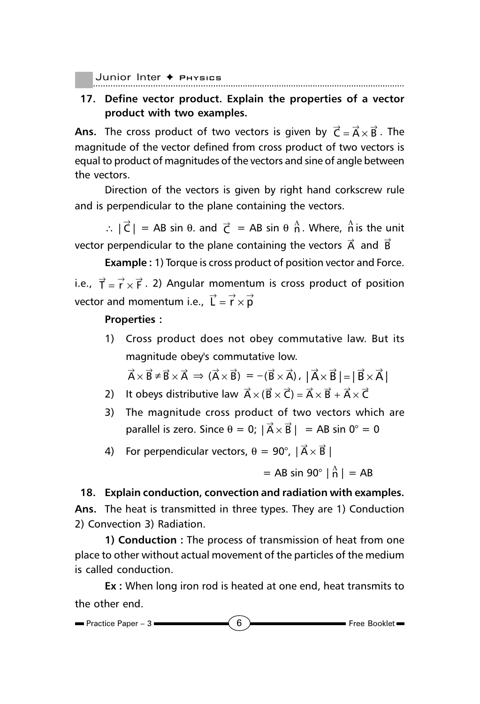Junior Inter ✦ Pнувісв

### **17. Define vector product. Explain the properties of a vector product with two examples.**

**Ans.** The cross product of two vectors is given by  $\vec{\textsf{C}} = \vec{\textsf{A}} \times \vec{\textsf{B}}$  . The magnitude of the vector defined from cross product of two vectors is equal to product of magnitudes of the vectors and sine of angle between the vectors.

Direction of the vectors is given by right hand corkscrew rule and is perpendicular to the plane containing the vectors.

:.  $|\vec{C}|$  = AB sin  $\theta$ . and  $\vec{C}$  = AB sin  $\theta \stackrel{\hat{\Lambda}}{n}$ . Where,  $\stackrel{\hat{\Lambda}}{n}$  is the unit vector perpendicular to the plane containing the vectors  $\vec{A}$  and  $\vec{B}$ 

**Example :** 1) Torque is cross product of position vector and Force. i.e.,  $\vec{T} = \vec{r} \times \vec{F}$ . 2) Angular momentum is cross product of position vector and momentum i.e.,  $\overrightarrow{L} = \overrightarrow{r} \times \overrightarrow{p}$ 

#### **Properties :**

1) Cross product does not obey commutative law. But its magnitude obey's commutative low.

$$
\vec{A} \times \vec{B} \neq \vec{B} \times \vec{A} \implies (\vec{A} \times \vec{B}) = -(\vec{B} \times \vec{A}) \text{ , } |\vec{A} \times \vec{B}| = |\vec{B} \times \vec{A}|
$$

- 2) It obeys distributive law  $\vec{A} \times (\vec{B} \times \vec{C}) = \vec{A} \times \vec{B} + \vec{A} \times \vec{C}$
- 3) The magnitude cross product of two vectors which are parallel is zero. Since  $\theta = 0$ ;  $|\vec{A} \times \vec{B}| = AB \sin 0^{\circ} = 0$

4) For perpendicular vectors,  $\theta = 90^{\circ}$ ,  $|\vec{A} \times \vec{B}|$ 

 $=$  AB sin 90°  $|\hat{n}| = AB$ 

**18. Explain conduction, convection and radiation with examples.**

**Ans.** The heat is transmitted in three types. They are 1) Conduction 2) Convection 3) Radiation.

**1) Conduction :** The process of transmission of heat from one place to other without actual movement of the particles of the medium is called conduction.

**Ex :** When long iron rod is heated at one end, heat transmits to the other end.

$$
\blacksquare \text{ Practice Paper - 3} \blacksquare
$$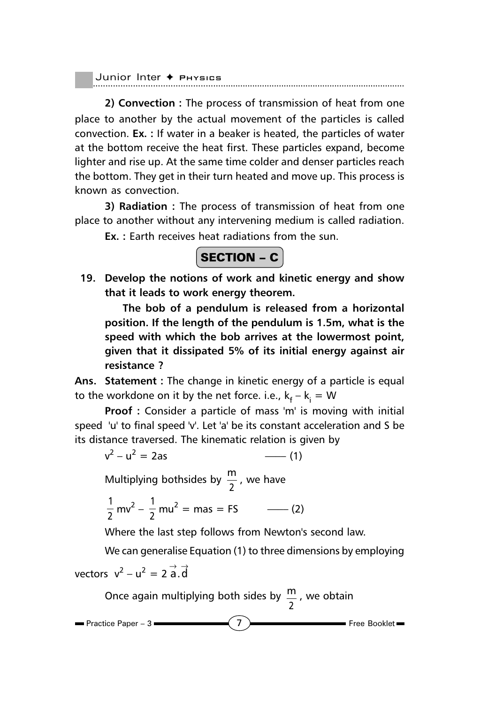|  | Junior Inter $\rightarrow$ Physics |
|--|------------------------------------|
|  |                                    |

**2) Convection :** The process of transmission of heat from one place to another by the actual movement of the particles is called convection. **Ex. :** If water in a beaker is heated, the particles of water at the bottom receive the heat first. These particles expand, become lighter and rise up. At the same time colder and denser particles reach the bottom. They get in their turn heated and move up. This process is known as convection.

**3) Radiation :** The process of transmission of heat from one place to another without any intervening medium is called radiation.

**Ex. :** Earth receives heat radiations from the sun.

### $\vert$  SECTION – C  $\vert$

**19. Develop the notions of work and kinetic energy and show that it leads to work energy theorem.**

**The bob of a pendulum is released from a horizontal position. If the length of the pendulum is 1.5m, what is the speed with which the bob arrives at the lowermost point, given that it dissipated 5% of its initial energy against air resistance ?**

**Ans. Statement :** The change in kinetic energy of a particle is equal to the workdone on it by the net force. i.e.,  ${\sf k_f} - {\sf k_i} = {\sf W}$ 

**Proof :** Consider a particle of mass 'm' is moving with initial speed 'u' to final speed 'v'. Let 'a' be its constant acceleration and S be its distance traversed. The kinematic relation is given by

$$
v^2 - u^2 = 2as
$$
 (1)

Multiplying bothsides by  $\frac{m}{2}$ , we have

$$
\frac{1}{2}mv^2 - \frac{1}{2}mu^2 = mas = FS
$$
 (2)

Where the last step follows from Newton's second law.

We can generalise Equation (1) to three dimensions by employing

vectors 
$$
v^2 - u^2 = 2 \overrightarrow{a} \cdot \overrightarrow{d}
$$

Once again multiplying both sides by  $\frac{m}{2}$ , we obtain

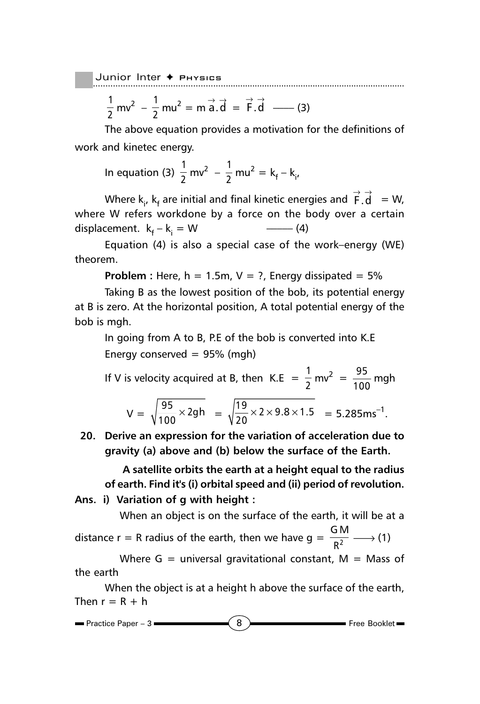$$
\frac{1}{2}mv^2 - \frac{1}{2}mu^2 = m\vec{a}.\vec{d} = \vec{F}.\vec{d} \quad (3)
$$

The above equation provides a motivation for the definitions of work and kinetec energy.

In equation (3) 
$$
\frac{1}{2}
$$
 mv<sup>2</sup> -  $\frac{1}{2}$  mu<sup>2</sup> = k<sub>f</sub> - k<sub>i</sub>,

Where  $\textsf{k}_{\mathsf{i}'}$ ,  $\textsf{k}_{\mathsf{f}}$  are initial and final kinetic energies and  $\stackrel{\rightarrow}{\mathsf{F}}\stackrel{\rightarrow}{\mathsf{d}}{}^-=\mathsf{W}$ , where W refers workdone by a force on the body over a certain displacement. k<sub>f</sub> – k<sub>i</sub>  $-$  (4)

Equation (4) is also a special case of the work–energy (WE) theorem.

**Problem :** Here,  $h = 1.5$ m,  $V = ?$ , Energy dissipated =  $5\%$ 

Taking B as the lowest position of the bob, its potential energy at B is zero. At the horizontal position, A total potential energy of the bob is mgh.

In going from A to B, P.E of the bob is converted into K.E Energy conserved  $= 95\%$  (mgh)

If V is velocity acquired at B, then K.E = 
$$
\frac{1}{2}
$$
 mv<sup>2</sup> =  $\frac{95}{100}$  mgh  

$$
V = \sqrt{\frac{95}{100}} \times 2gh = \sqrt{\frac{19}{20}} \times 2 \times 9.8 \times 1.5 = 5.285
$$
ms<sup>-1</sup>.

**20. Derive an expression for the variation of acceleration due to gravity (a) above and (b) below the surface of the Earth.**

**A satellite orbits the earth at a height equal to the radius of earth. Find it's (i) orbital speed and (ii) period of revolution.**

**Ans. i) Variation of g with height :**

When an object is on the surface of the earth, it will be at a

distance r = R radius of the earth, then we have  $g = \frac{GM}{R^2}$  $\frac{2\pi i}{R^2} \longrightarrow (1)$ 

Where  $G =$  universal gravitational constant,  $M =$  Mass of the earth

When the object is at a height h above the surface of the earth, Then  $r = R + h$ 

$$
\blacksquare \text{ Practice Paper - 3} \blacksquare
$$
 8 \n $\blacksquare$  \nFree Booklet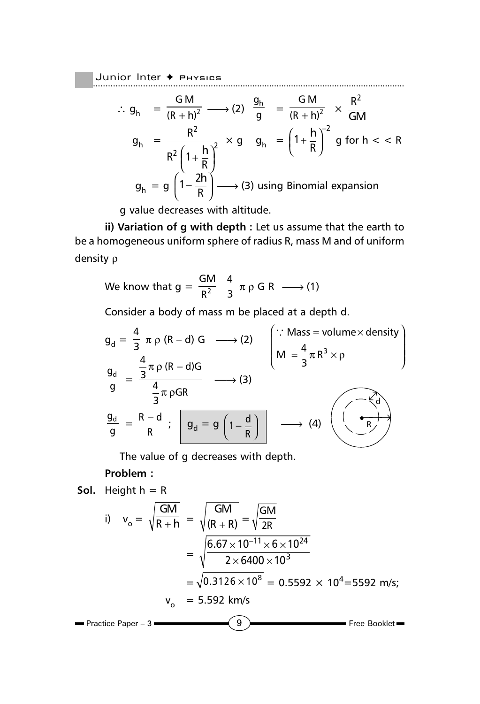Junior Inter ♦ Рнүзісs

$$
\therefore g_h = \frac{GM}{(R+h)^2} \longrightarrow (2) \frac{g_h}{g} = \frac{GM}{(R+h)^2} \times \frac{R^2}{GM}
$$
  

$$
g_h = \frac{R^2}{R^2 \left(1 + \frac{h}{R}\right)^2} \times g g_h = \left(1 + \frac{h}{R}\right)^{-2} g \text{ for } h < R
$$
  

$$
g_h = g \left(1 - \frac{2h}{R}\right) \longrightarrow (3) \text{ using Binomial expansion}
$$

g value decreases with altitude.

**ii) Variation of g with depth :** Let us assume that the earth to be a homogeneous uniform sphere of radius R, mass M and of uniform density ρ

We know that 
$$
g = \frac{GM}{R^2} \frac{4}{3} \pi \rho \cdot GR \longrightarrow (1)
$$

Consider a body of mass m be placed at a depth d.

$$
g_{d} = \frac{4}{3} \pi \rho (R - d) G \longrightarrow (2)
$$
\n
$$
\frac{g_{d}}{g} = \frac{\frac{4}{3} \pi \rho (R - d)G}{\frac{4}{3} \pi \rho GR} \longrightarrow (3)
$$
\n
$$
\frac{g_{d}}{g} = \frac{R - d}{R} ; \quad g_{d} = g \left(1 - \frac{d}{R}\right) \longrightarrow (4)
$$
\n
$$
\frac{g_{d}}{g} = \frac{R - d}{R} ; \quad g_{d} = g \left(1 - \frac{d}{R}\right) \longrightarrow (4)
$$

The value of g decreases with depth.

#### **Problem :**

**Sol.** Height 
$$
h = R
$$

\n
$$
v_o = \sqrt{\frac{GM}{R+h}} = \sqrt{\frac{GM}{(R+R)}} = \sqrt{\frac{GM}{2R}}
$$
\n
$$
= \sqrt{\frac{6.67 \times 10^{-11} \times 6 \times 10^{24}}{2 \times 6400 \times 10^3}}
$$
\n
$$
= \sqrt{0.3126 \times 10^8} = 0.5592 \times 10^4 = 5592 \text{ m/s};
$$
\n
$$
v_o = 5.592 \text{ km/s}
$$

\nPractice Paper - 3

\n**9** Free Booklet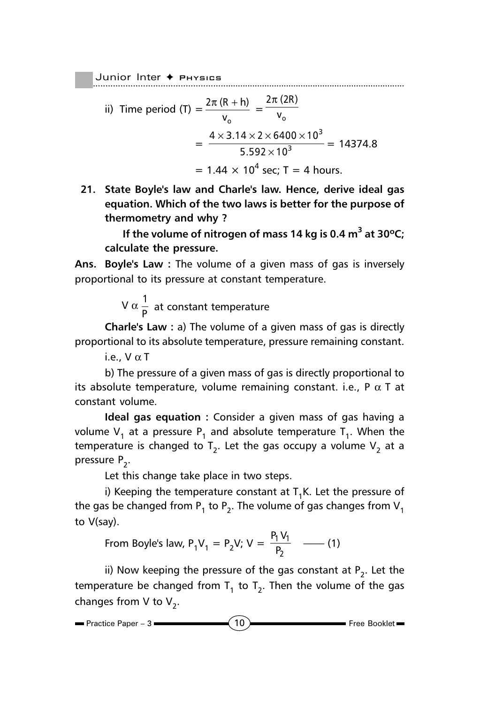ii) Time period (T) = 
$$
\frac{2\pi (R + h)}{v_o}
$$
 =  $\frac{2\pi (2R)}{v_o}$   
=  $\frac{4 \times 3.14 \times 2 \times 6400 \times 10^3}{5.592 \times 10^3}$  = 14374.8  
= 1.44 × 10<sup>4</sup> sec; T = 4 hours.

**21. State Boyle's law and Charle's law. Hence, derive ideal gas equation. Which of the two laws is better for the purpose of thermometry and why ?**

**If the volume of nitrogen of mass 14 kg is 0.4 m3 at 30ºC; calculate the pressure.**

**Ans. Boyle's Law :** The volume of a given mass of gas is inversely proportional to its pressure at constant temperature.

V  $\alpha \frac{1}{\mathsf{P}}$  at constant temperature

**Charle's Law :** a) The volume of a given mass of gas is directly proportional to its absolute temperature, pressure remaining constant.

i.e.,  $V \alpha T$ 

b) The pressure of a given mass of gas is directly proportional to its absolute temperature, volume remaining constant. i.e.,  $P \alpha T$  at constant volume.

**Ideal gas equation :** Consider a given mass of gas having a volume  $V_1$  at a pressure  $P_1$  and absolute temperature  $T_1$ . When the temperature is changed to  $T_2$ . Let the gas occupy a volume  $V_2$  at a pressure  $P_2$ .

Let this change take place in two steps.

i) Keeping the temperature constant at  $T_1K$ . Let the pressure of the gas be changed from  $P_1$  to  $P_2$ . The volume of gas changes from  $V_1$ to V(say).

From Boyle's law, 
$$
P_1V_1 = P_2V
$$
;  $V = \frac{P_1V_1}{P_2}$  (1)

ii) Now keeping the pressure of the gas constant at  $P_2$ . Let the temperature be changed from  $T_1$  to  $T_2$ . Then the volume of the gas changes from V to  $V_2$ .

 $P$ ractice Paper – 3  $\longrightarrow (10)$